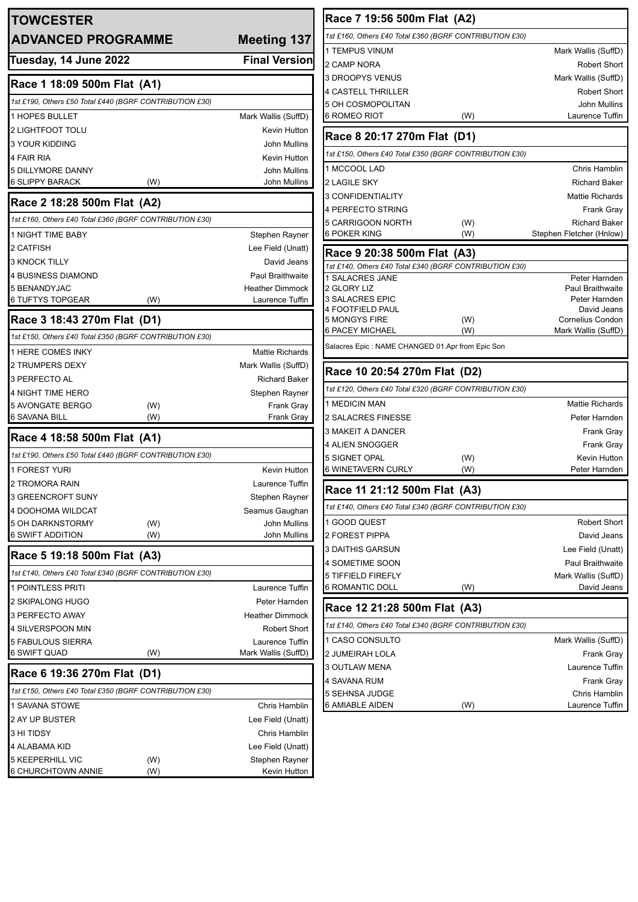| <b>TOWCESTER</b>                                        |            |                                           |  |  |
|---------------------------------------------------------|------------|-------------------------------------------|--|--|
| <b>ADVANCED PROGRAMME</b>                               |            | <b>Meeting 137</b>                        |  |  |
| Tuesday, 14 June 2022                                   |            | <b>Final Version</b>                      |  |  |
| Race 1 18:09 500m Flat (A1)                             |            |                                           |  |  |
| 1st £190, Others £50 Total £440 (BGRF CONTRIBUTION £30) |            |                                           |  |  |
| <b>1 HOPES BULLET</b>                                   |            | Mark Wallis (SuffD)                       |  |  |
| 2 LIGHTFOOT TOLU                                        |            | Kevin Hutton                              |  |  |
| <b>3 YOUR KIDDING</b>                                   |            | John Mullins                              |  |  |
| 4 FAIR RIA                                              |            | Kevin Hutton                              |  |  |
| 5 DILLYMORE DANNY                                       |            | <b>John Mullins</b>                       |  |  |
| 6 SLIPPY BARACK                                         | (W)        | <b>John Mullins</b>                       |  |  |
| Race 2 18:28 500m Flat (A2)                             |            |                                           |  |  |
| 1st £160, Others £40 Total £360 (BGRF CONTRIBUTION £30) |            |                                           |  |  |
| <b>1 NIGHT TIME BABY</b>                                |            | Stephen Rayner                            |  |  |
| 2 CATFISH                                               |            | Lee Field (Unatt)                         |  |  |
| <b>3 KNOCK TILLY</b>                                    |            | David Jeans                               |  |  |
| 4 BUSINESS DIAMOND                                      |            | <b>Paul Braithwaite</b>                   |  |  |
| 5 BENANDYJAC<br><b>6 TUFTYS TOPGEAR</b>                 | (W)        | <b>Heather Dimmock</b><br>Laurence Tuffin |  |  |
| Race 3 18:43 270m Flat (D1)                             |            |                                           |  |  |
| 1st £150, Others £40 Total £350 (BGRF CONTRIBUTION £30) |            |                                           |  |  |
| 1 HERE COMES INKY                                       |            | <b>Mattie Richards</b>                    |  |  |
| 2 TRUMPERS DEXY                                         |            | Mark Wallis (SuffD)                       |  |  |
| 3 PERFECTO AL                                           |            | <b>Richard Baker</b>                      |  |  |
| <b>4 NIGHT TIME HERO</b>                                |            | Stephen Rayner                            |  |  |
| <b>5 AVONGATE BERGO</b>                                 | (W)        | <b>Frank Gray</b>                         |  |  |
| 6 SAVANA BILL                                           | (W)        | Frank Gray                                |  |  |
| Race 4 18:58 500m Flat (A1)                             |            |                                           |  |  |
| 1st £190, Others £50 Total £440 (BGRF CONTRIBUTION £30) |            |                                           |  |  |
| <b>1 FOREST YURI</b>                                    |            | Kevin Hutton                              |  |  |
| 2 TROMORA RAIN                                          |            | Laurence Tuffin                           |  |  |
| <b>3 GREENCROFT SUNY</b>                                |            | Stephen Rayner                            |  |  |
| 4 DOOHOMA WILDCAT<br>5 OH DARKNSTORMY                   |            | Seamus Gaughan<br>John Mullins            |  |  |
| 6 SWIFT ADDITION                                        | (W)<br>(W) | John Mullins                              |  |  |
| Race 5 19:18 500m Flat (A3)                             |            |                                           |  |  |
| 1st £140, Others £40 Total £340 (BGRF CONTRIBUTION £30) |            |                                           |  |  |
| 1 POINTLESS PRITI                                       |            | Laurence Tuffin                           |  |  |
| 2 SKIPALONG HUGO                                        |            | Peter Harnden                             |  |  |
| 3 PERFECTO AWAY                                         |            | <b>Heather Dimmock</b>                    |  |  |
| 4 SILVERSPOON MIN                                       |            | <b>Robert Short</b>                       |  |  |
| 5 FABULOUS SIERRA                                       |            | Laurence Tuffin                           |  |  |
| 6 SWIFT QUAD                                            | (W)        | Mark Wallis (SuffD)                       |  |  |
| Race 6 19:36 270m Flat (D1)                             |            |                                           |  |  |
| 1st £150, Others £40 Total £350 (BGRF CONTRIBUTION £30) |            |                                           |  |  |
| 1 SAVANA STOWE                                          |            | Chris Hamblin                             |  |  |
| 2 AY UP BUSTER                                          |            | Lee Field (Unatt)                         |  |  |
| 3 HI TIDSY                                              |            | Chris Hamblin                             |  |  |
| 4 ALABAMA KID                                           |            | Lee Field (Unatt)                         |  |  |
| 5 KEEPERHILL VIC                                        | (W)        | Stephen Rayner                            |  |  |
| 6 CHURCHTOWN ANNIE                                      | (W)        | Kevin Hutton                              |  |  |

| Race 7 19:56 500m Flat (A2)                             |            |                                          |  |  |
|---------------------------------------------------------|------------|------------------------------------------|--|--|
| 1st £160, Others £40 Total £360 (BGRF CONTRIBUTION £30) |            |                                          |  |  |
| 1 TEMPUS VINUM                                          |            | Mark Wallis (SuffD)                      |  |  |
| 2 CAMP NORA                                             |            | <b>Robert Short</b>                      |  |  |
| 3 DROOPYS VENUS                                         |            | Mark Wallis (SuffD)                      |  |  |
| 4 CASTELL THRILLER                                      |            | <b>Robert Short</b>                      |  |  |
| 5 OH COSMOPOLITAN                                       |            | John Mullins                             |  |  |
| 6 ROMEO RIOT                                            | (W)        | Laurence Tuffin                          |  |  |
| Race 8 20:17 270m Flat (D1)                             |            |                                          |  |  |
| 1st £150, Others £40 Total £350 (BGRF CONTRIBUTION £30) |            |                                          |  |  |
| 1 MCCOOL LAD                                            |            | Chris Hamblin                            |  |  |
| 2 LAGILE SKY                                            |            | <b>Richard Baker</b>                     |  |  |
| 3 CONFIDENTIALITY                                       |            | <b>Mattie Richards</b>                   |  |  |
| 4 PERFECTO STRING                                       |            | Frank Gray                               |  |  |
| 5 CARRIGOON NORTH                                       | (W)        | <b>Richard Baker</b>                     |  |  |
| 6 POKER KING                                            | (W)        | Stephen Fletcher (Hnlow)                 |  |  |
| Race 9 20:38 500m Flat (A3)                             |            |                                          |  |  |
| 1st £140, Others £40 Total £340 (BGRF CONTRIBUTION £30) |            |                                          |  |  |
| 1 SALACRES JANE<br>2 GLORY LIZ                          |            | Peter Harnden<br><b>Paul Braithwaite</b> |  |  |
| 3 SALACRES EPIC                                         |            | Peter Harnden                            |  |  |
| 4 FOOTFIELD PAUL                                        |            | David Jeans                              |  |  |
| 5 MONGYS FIRE<br>6 PACEY MICHAEL                        | (W)<br>(W) | Cornelius Condon<br>Mark Wallis (SuffD)  |  |  |
| Salacres Epic : NAME CHANGED 01.Apr from Epic Son       |            |                                          |  |  |
|                                                         |            |                                          |  |  |
| Race 10 20:54 270m Flat (D2)                            |            |                                          |  |  |
| 1st £120, Others £40 Total £320 (BGRF CONTRIBUTION £30) |            |                                          |  |  |
| <b>1 MEDICIN MAN</b>                                    |            | <b>Mattie Richards</b>                   |  |  |
| 2 SALACRES FINESSE                                      |            | Peter Harnden                            |  |  |
| 3 MAKEIT A DANCER                                       |            | Frank Gray                               |  |  |
| 4 ALIEN SNOGGER                                         |            | Frank Gray                               |  |  |
| 5 SIGNET OPAL                                           | (W)        | Kevin Hutton                             |  |  |
| 6 WINETAVERN CURLY                                      | (W)        | Peter Harnden                            |  |  |
| Race 11 21:12 500m Flat (A3)                            |            |                                          |  |  |
| 1st £140, Others £40 Total £340 (BGRF CONTRIBUTION £30) |            |                                          |  |  |
| 1 GOOD QUEST                                            |            | <b>Robert Short</b>                      |  |  |
| 2 FOREST PIPPA                                          |            | David Jeans                              |  |  |
| 3 DAITHIS GARSUN                                        |            | Lee Field (Unatt)                        |  |  |
| 4 SOMETIME SOON                                         |            | Paul Braithwaite                         |  |  |
| 5 TIFFIELD FIREFLY                                      |            | Mark Wallis (SuffD)                      |  |  |
| 6 ROMANTIC DOLL                                         | (W)        | David Jeans                              |  |  |
| Race 12 21:28 500m Flat (A3)                            |            |                                          |  |  |
| 1st £140, Others £40 Total £340 (BGRF CONTRIBUTION £30) |            |                                          |  |  |
| 1 CASO CONSULTO                                         |            | Mark Wallis (SuffD)                      |  |  |
| 2 JUMEIRAH LOLA                                         |            | Frank Gray                               |  |  |
| 3 OUTLAW MENA                                           |            | Laurence Tuffin                          |  |  |
| 4 SAVANA RUM                                            |            | Frank Gray                               |  |  |
| 5 SEHNSA JUDGE                                          |            | Chris Hamblin                            |  |  |
| 6 AMIABLE AIDEN                                         | (W)        | Laurence Tuffin                          |  |  |
|                                                         |            |                                          |  |  |